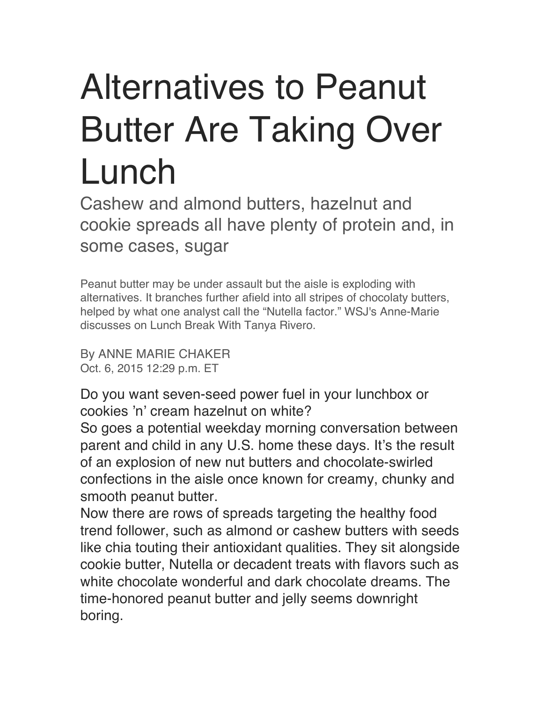## Alternatives to Peanut Butter Are Taking Over Lunch

Cashew and almond butters, hazelnut and cookie spreads all have plenty of protein and, in some cases, sugar

Peanut butter may be under assault but the aisle is exploding with alternatives. It branches further afield into all stripes of chocolaty butters, helped by what one analyst call the "Nutella factor." WSJ's Anne-Marie discusses on Lunch Break With Tanya Rivero.

By ANNE MARIE CHAKER Oct. 6, 2015 12:29 p.m. ET

Do you want seven-seed power fuel in your lunchbox or cookies 'n' cream hazelnut on white?

So goes a potential weekday morning conversation between parent and child in any U.S. home these days. It's the result of an explosion of new nut butters and chocolate-swirled confections in the aisle once known for creamy, chunky and smooth peanut butter.

Now there are rows of spreads targeting the healthy food trend follower, such as almond or cashew butters with seeds like chia touting their antioxidant qualities. They sit alongside cookie butter, Nutella or decadent treats with flavors such as white chocolate wonderful and dark chocolate dreams. The time-honored peanut butter and jelly seems downright boring.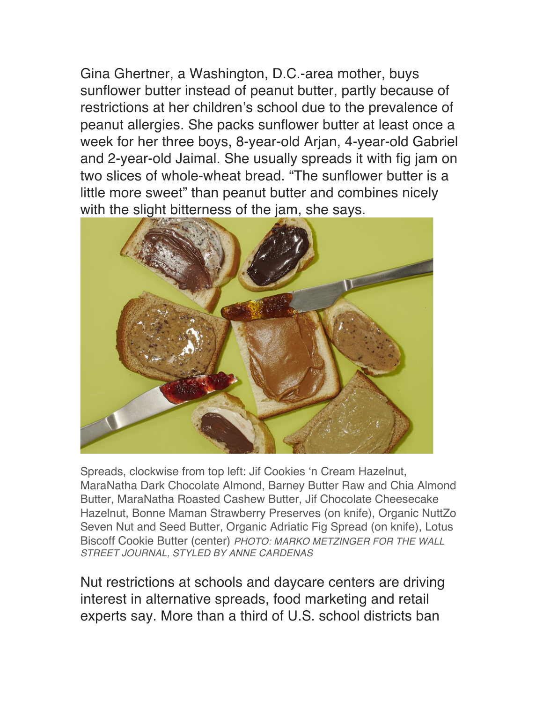Gina Ghertner, a Washington, D.C.-area mother, buys sunflower butter instead of peanut butter, partly because of restrictions at her children's school due to the prevalence of peanut allergies. She packs sunflower butter at least once a week for her three boys, 8-year-old Arjan, 4-year-old Gabriel and 2-year-old Jaimal. She usually spreads it with fig jam on two slices of whole-wheat bread. "The sunflower butter is a little more sweet" than peanut butter and combines nicely with the slight bitterness of the jam, she says.



Spreads, clockwise from top left: Jif Cookies 'n Cream Hazelnut, MaraNatha Dark Chocolate Almond, Barney Butter Raw and Chia Almond Butter, MaraNatha Roasted Cashew Butter, Jif Chocolate Cheesecake Hazelnut, Bonne Maman Strawberry Preserves (on knife), Organic NuttZo Seven Nut and Seed Butter, Organic Adriatic Fig Spread (on knife), Lotus Biscoff Cookie Butter (center) *PHOTO: MARKO METZINGER FOR THE WALL STREET JOURNAL, STYLED BY ANNE CARDENAS*

Nut restrictions at schools and daycare centers are driving interest in alternative spreads, food marketing and retail experts say. More than a third of U.S. school districts ban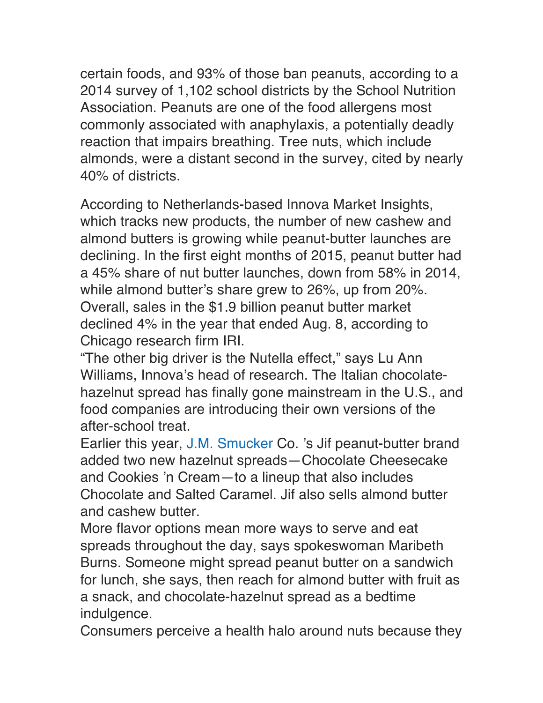certain foods, and 93% of those ban peanuts, according to a 2014 survey of 1,102 school districts by the School Nutrition Association. Peanuts are one of the food allergens most commonly associated with anaphylaxis, a potentially deadly reaction that impairs breathing. Tree nuts, which include almonds, were a distant second in the survey, cited by nearly 40% of districts.

According to Netherlands-based Innova Market Insights, which tracks new products, the number of new cashew and almond butters is growing while peanut-butter launches are declining. In the first eight months of 2015, peanut butter had a 45% share of nut butter launches, down from 58% in 2014, while almond butter's share grew to 26%, up from 20%. Overall, sales in the \$1.9 billion peanut butter market declined 4% in the year that ended Aug. 8, according to Chicago research firm IRI.

"The other big driver is the Nutella effect," says Lu Ann Williams, Innova's head of research. The Italian chocolatehazelnut spread has finally gone mainstream in the U.S., and food companies are introducing their own versions of the after-school treat.

Earlier this year, J.M. Smucker Co. 's Jif peanut-butter brand added two new hazelnut spreads—Chocolate Cheesecake and Cookies 'n Cream—to a lineup that also includes Chocolate and Salted Caramel. Jif also sells almond butter and cashew butter.

More flavor options mean more ways to serve and eat spreads throughout the day, says spokeswoman Maribeth Burns. Someone might spread peanut butter on a sandwich for lunch, she says, then reach for almond butter with fruit as a snack, and chocolate-hazelnut spread as a bedtime indulgence.

Consumers perceive a health halo around nuts because they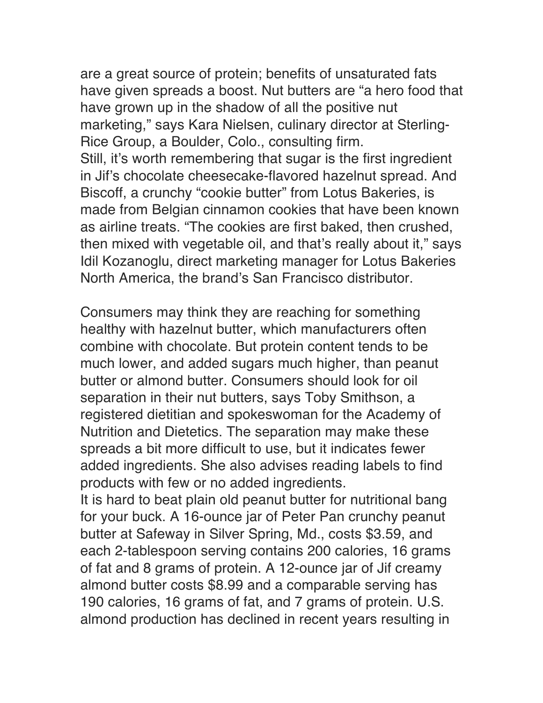are a great source of protein; benefits of unsaturated fats have given spreads a boost. Nut butters are "a hero food that have grown up in the shadow of all the positive nut marketing," says Kara Nielsen, culinary director at Sterling-Rice Group, a Boulder, Colo., consulting firm. Still, it's worth remembering that sugar is the first ingredient in Jif's chocolate cheesecake-flavored hazelnut spread. And Biscoff, a crunchy "cookie butter" from Lotus Bakeries, is made from Belgian cinnamon cookies that have been known as airline treats. "The cookies are first baked, then crushed, then mixed with vegetable oil, and that's really about it," says Idil Kozanoglu, direct marketing manager for Lotus Bakeries North America, the brand's San Francisco distributor.

Consumers may think they are reaching for something healthy with hazelnut butter, which manufacturers often combine with chocolate. But protein content tends to be much lower, and added sugars much higher, than peanut butter or almond butter. Consumers should look for oil separation in their nut butters, says Toby Smithson, a registered dietitian and spokeswoman for the Academy of Nutrition and Dietetics. The separation may make these spreads a bit more difficult to use, but it indicates fewer added ingredients. She also advises reading labels to find products with few or no added ingredients.

It is hard to beat plain old peanut butter for nutritional bang for your buck. A 16-ounce jar of Peter Pan crunchy peanut butter at Safeway in Silver Spring, Md., costs \$3.59, and each 2-tablespoon serving contains 200 calories, 16 grams of fat and 8 grams of protein. A 12-ounce jar of Jif creamy almond butter costs \$8.99 and a comparable serving has 190 calories, 16 grams of fat, and 7 grams of protein. U.S. almond production has declined in recent years resulting in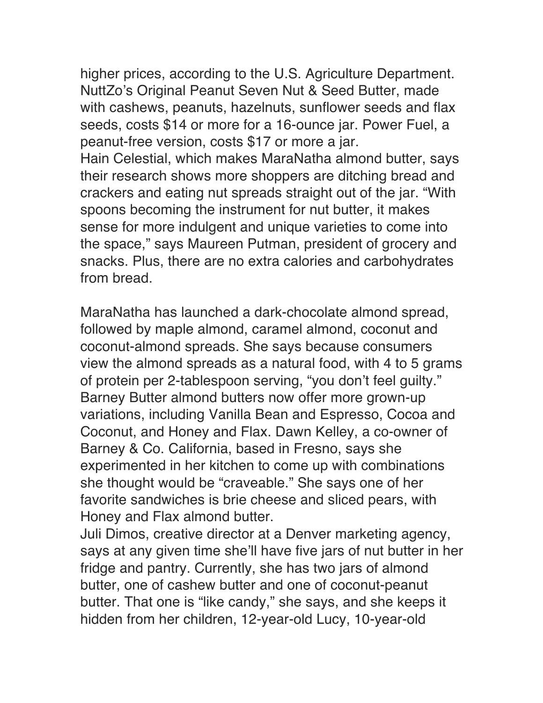higher prices, according to the U.S. Agriculture Department. NuttZo's Original Peanut Seven Nut & Seed Butter, made with cashews, peanuts, hazelnuts, sunflower seeds and flax seeds, costs \$14 or more for a 16-ounce jar. Power Fuel, a peanut-free version, costs \$17 or more a jar. Hain Celestial, which makes MaraNatha almond butter, says their research shows more shoppers are ditching bread and crackers and eating nut spreads straight out of the jar. "With spoons becoming the instrument for nut butter, it makes sense for more indulgent and unique varieties to come into the space," says Maureen Putman, president of grocery and snacks. Plus, there are no extra calories and carbohydrates from bread.

MaraNatha has launched a dark-chocolate almond spread, followed by maple almond, caramel almond, coconut and coconut-almond spreads. She says because consumers view the almond spreads as a natural food, with 4 to 5 grams of protein per 2-tablespoon serving, "you don't feel guilty." Barney Butter almond butters now offer more grown-up variations, including Vanilla Bean and Espresso, Cocoa and Coconut, and Honey and Flax. Dawn Kelley, a co-owner of Barney & Co. California, based in Fresno, says she experimented in her kitchen to come up with combinations she thought would be "craveable." She says one of her favorite sandwiches is brie cheese and sliced pears, with Honey and Flax almond butter.

Juli Dimos, creative director at a Denver marketing agency, says at any given time she'll have five jars of nut butter in her fridge and pantry. Currently, she has two jars of almond butter, one of cashew butter and one of coconut-peanut butter. That one is "like candy," she says, and she keeps it hidden from her children, 12-year-old Lucy, 10-year-old